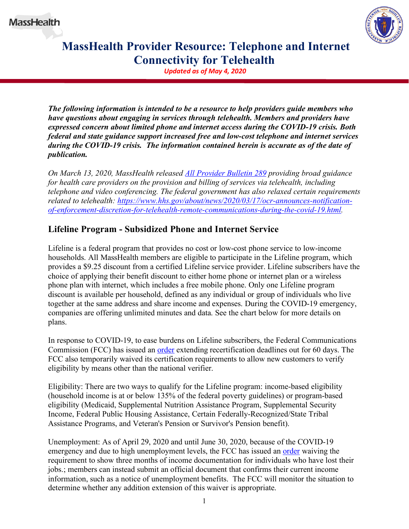

## **MassHealth Provider Resource: Telephone and Internet Connectivity for Telehealth**

*Updated as of May 4, 2020*

*The following information is intended to be a resource to help providers guide members who have questions about engaging in services through telehealth. Members and providers have expressed concern about limited phone and internet access during the COVID-19 crisis. Both federal and state guidance support increased free and low-cost telephone and internet services during the COVID-19 crisis. The information contained herein is accurate as of the date of publication.*

*On March 13, 2020, MassHealth released [All Provider Bulletin](https://www.mass.gov/doc/all-provider-bulletin-289-masshealth-coverage-and-reimbursement-policy-for-services-related-to/download) 289 providing broad guidance for health care providers on the provision and billing of services via telehealth, including telephone and video conferencing. The federal government has also relaxed certain requirements related to telehealth: [https://www.hhs.gov/about/news/2020/03/17/ocr-announces-notification](https://www.hhs.gov/about/news/2020/03/17/ocr-announces-notification-of-enforcement-discretion-for-telehealth-remote-communications-during-the-covid-19.html)[of-enforcement-discretion-for-telehealth-remote-communications-during-the-covid-19.html.](https://www.hhs.gov/about/news/2020/03/17/ocr-announces-notification-of-enforcement-discretion-for-telehealth-remote-communications-during-the-covid-19.html)*

## **Lifeline Program - Subsidized Phone and Internet Service**

Lifeline is a federal program that provides no cost or low-cost phone service to low-income households. All MassHealth members are eligible to participate in the Lifeline program, which provides a \$9.25 discount from a certified Lifeline service provider. Lifeline subscribers have the choice of applying their benefit discount to either home phone or internet plan or a wireless phone plan with internet, which includes a free mobile phone. Only one Lifeline program discount is available per household, defined as any individual or group of individuals who live together at the same address and share income and expenses. During the COVID-19 emergency, companies are offering unlimited minutes and data. See the chart below for more details on plans.

In response to COVID-19, to ease burdens on Lifeline subscribers, the Federal Communications Commission (FCC) has issued an [order](https://docs.fcc.gov/public/attachments/DA-20-285A1.pdf) extending recertification deadlines out for 60 days. The FCC also temporarily waived its certification requirements to allow new customers to verify eligibility by means other than the national verifier.

Eligibility: There are two ways to qualify for the Lifeline program: income-based eligibility (household income is at or below 135% of the federal poverty guidelines) or program-based eligibility (Medicaid, Supplemental Nutrition Assistance Program, Supplemental Security Income, Federal Public Housing Assistance, Certain Federally-Recognized/State Tribal Assistance Programs, and Veteran's Pension or Survivor's Pension benefit).

Unemployment: As of April 29, 2020 and until June 30, 2020, because of the COVID-19 emergency and due to high unemployment levels, the FCC has issued an [order](https://docs.fcc.gov/public/attachments/DOC-364070A1.pdf) waiving the requirement to show three months of income documentation for individuals who have lost their jobs.; members can instead submit an official document that confirms their current income information, such as a notice of unemployment benefits. The FCC will monitor the situation to determine whether any addition extension of this waiver is appropriate.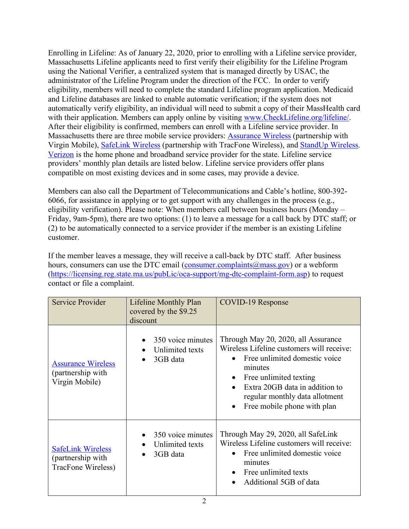Enrolling in Lifeline: As of January 22, 2020, prior to enrolling with a Lifeline service provider, Massachusetts Lifeline applicants need to first verify their eligibility for the Lifeline Program using the National Verifier, a centralized system that is managed directly by USAC, the administrator of the Lifeline Program under the direction of the FCC. In order to verify eligibility, members will need to complete the standard Lifeline program application. Medicaid and Lifeline databases are linked to enable automatic verification; if the system does not automatically verify eligibility, an individual will need to submit a copy of their MassHealth card with their application. Members can apply online by visiting [www.CheckLifeline.org/lifeline/.](http://www.checklifeline.org/lifeline/) After their eligibility is confirmed, members can enroll with a Lifeline service provider. In Massachusetts there are three mobile service providers: [Assurance Wireless](http://www.assurancewireless.com/) (partnership with Virgin Mobile), [SafeLink Wireless](https://www.safelinkwireless.com/Enrollment/Safelink/en/Web/www/default/index.html#!/newHome) (partnership with TracFone Wireless), and [StandUp Wireless.](https://standupwireless.com/) [Verizon](https://www.verizon.com/support/consumer/account/manage-account/lifeline-discount) is the home phone and broadband service provider for the state. Lifeline service providers' monthly plan details are listed below. Lifeline service providers offer plans compatible on most existing devices and in some cases, may provide a device.

Members can also call the Department of Telecommunications and Cable's hotline, 800-392- 6066, for assistance in applying or to get support with any challenges in the process (e.g., eligibility verification). Please note: When members call between business hours (Monday – Friday, 9am-5pm), there are two options: (1) to leave a message for a call back by DTC staff; or (2) to be automatically connected to a service provider if the member is an existing Lifeline customer.

If the member leaves a message, they will receive a call-back by DTC staff. After business hours, consumers can use the DTC email [\(consumer.complaints@mass.gov\)](mailto:consumer.complaints@mass.gov) or a webform [\(https://licensing.reg.state.ma.us/pubLic/oca-support/mg-dtc-complaint-form.asp\)](https://licensing.reg.state.ma.us/pubLic/oca-support/mg-dtc-complaint-form.asp) to request contact or file a complaint.

| Service Provider                                                    | Lifeline Monthly Plan<br>covered by the \$9.25<br>discount | <b>COVID-19 Response</b>                                                                                                                                                                                                                                               |
|---------------------------------------------------------------------|------------------------------------------------------------|------------------------------------------------------------------------------------------------------------------------------------------------------------------------------------------------------------------------------------------------------------------------|
| <b>Assurance Wireless</b><br>(partnership with<br>Virgin Mobile)    | 350 voice minutes<br>Unlimited texts<br>3GB data           | Through May 20, 2020, all Assurance<br>Wireless Lifeline customers will receive:<br>Free unlimited domestic voice<br>minutes<br>Free unlimited texting<br>$\bullet$<br>Extra 20GB data in addition to<br>regular monthly data allotment<br>Free mobile phone with plan |
| <b>SafeLink Wireless</b><br>(partnership with<br>TracFone Wireless) | 350 voice minutes<br>Unlimited texts<br>3GB data           | Through May 29, 2020, all SafeLink<br>Wireless Lifeline customers will receive:<br>Free unlimited domestic voice<br>minutes<br>Free unlimited texts<br>Additional 5GB of data                                                                                          |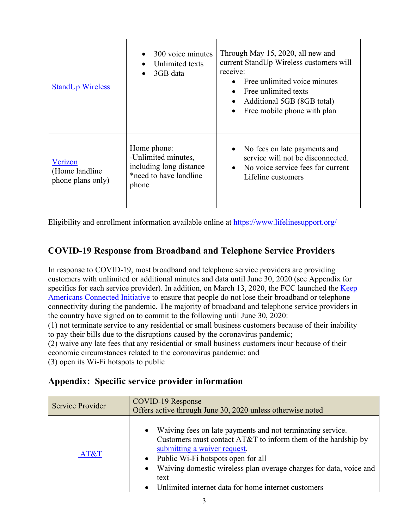| <b>StandUp Wireless</b>                        | 300 voice minutes<br>Unlimited texts<br>3GB data                                                 | Through May 15, 2020, all new and<br>current StandUp Wireless customers will<br>receive:<br>Free unlimited voice minutes<br>Free unlimited texts<br>Additional 5GB (8GB total)<br>Free mobile phone with plan |
|------------------------------------------------|--------------------------------------------------------------------------------------------------|---------------------------------------------------------------------------------------------------------------------------------------------------------------------------------------------------------------|
| Verizon<br>(Home landline<br>phone plans only) | Home phone:<br>-Unlimited minutes,<br>including long distance<br>*need to have landline<br>phone | No fees on late payments and<br>service will not be disconnected.<br>• No voice service fees for current<br>Lifeline customers                                                                                |

Eligibility and enrollment information available online at<https://www.lifelinesupport.org/>

## **COVID-19 Response from Broadband and Telephone Service Providers**

In response to COVID-19, most broadband and telephone service providers are providing customers with unlimited or additional minutes and data until June 30, 2020 (see Appendix for specifics for each service provider). In addition, on March 13, 2020, the FCC launched the Keep [Americans Connected Initiative](https://www.fcc.gov/keep-americans-connected) to ensure that people do not lose their broadband or telephone connectivity during the pandemic. The majority of broadband and telephone service providers in the country have signed on to commit to the following until June 30, 2020:

(1) not terminate service to any residential or small business customers because of their inability to pay their bills due to the disruptions caused by the coronavirus pandemic;

(2) waive any late fees that any residential or small business customers incur because of their economic circumstances related to the coronavirus pandemic; and

(3) open its Wi-Fi hotspots to public

## **Appendix: Specific service provider information**

| Service Provider | COVID-19 Response<br>Offers active through June 30, 2020 unless otherwise noted                                                                                                                                                                                                                                                                                      |
|------------------|----------------------------------------------------------------------------------------------------------------------------------------------------------------------------------------------------------------------------------------------------------------------------------------------------------------------------------------------------------------------|
| AT&T             | Waiving fees on late payments and not terminating service.<br>$\bullet$<br>Customers must contact $AT&T$ to inform them of the hardship by<br>submitting a waiver request.<br>• Public Wi-Fi hotspots open for all<br>Waiving domestic wireless plan overage charges for data, voice and<br>$\bullet$<br>text<br>Unlimited internet data for home internet customers |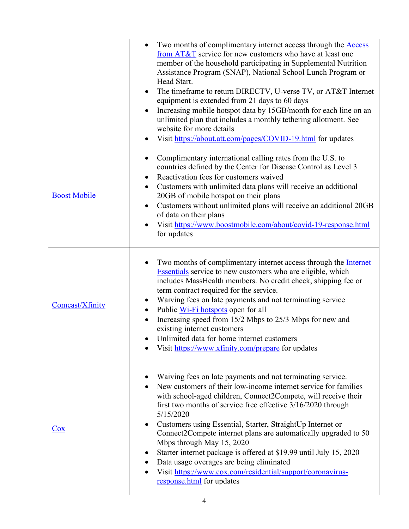|                         | Two months of complimentary internet access through the <b>Access</b><br>from AT&T service for new customers who have at least one<br>member of the household participating in Supplemental Nutrition<br>Assistance Program (SNAP), National School Lunch Program or<br>Head Start.<br>The timeframe to return DIRECTV, U-verse TV, or AT&T Internet<br>equipment is extended from 21 days to 60 days<br>Increasing mobile hotspot data by 15GB/month for each line on an<br>unlimited plan that includes a monthly tethering allotment. See<br>website for more details<br>Visit https://about.att.com/pages/COVID-19.html for updates                 |
|-------------------------|---------------------------------------------------------------------------------------------------------------------------------------------------------------------------------------------------------------------------------------------------------------------------------------------------------------------------------------------------------------------------------------------------------------------------------------------------------------------------------------------------------------------------------------------------------------------------------------------------------------------------------------------------------|
| <b>Boost Mobile</b>     | Complimentary international calling rates from the U.S. to<br>countries defined by the Center for Disease Control as Level 3<br>Reactivation fees for customers waived<br>Customers with unlimited data plans will receive an additional<br>20GB of mobile hotspot on their plans<br>Customers without unlimited plans will receive an additional 20GB<br>of data on their plans<br>Visit https://www.boostmobile.com/about/covid-19-response.html<br>for updates                                                                                                                                                                                       |
| Comcast/Xfinity         | Two months of complimentary internet access through the <b>Internet</b><br><b>Essentials</b> service to new customers who are eligible, which<br>includes MassHealth members. No credit check, shipping fee or<br>term contract required for the service.<br>Waiving fees on late payments and not terminating service<br>Public Wi-Fi hotspots open for all<br>٠<br>Increasing speed from 15/2 Mbps to 25/3 Mbps for new and<br>existing internet customers<br>Unlimited data for home internet customers<br>Visit https://www.xfinity.com/prepare for updates                                                                                         |
| $\overline{\text{Cox}}$ | Waiving fees on late payments and not terminating service.<br>New customers of their low-income internet service for families<br>with school-aged children, Connect2Compete, will receive their<br>first two months of service free effective 3/16/2020 through<br>5/15/2020<br>Customers using Essential, Starter, StraightUp Internet or<br>Connect2Compete internet plans are automatically upgraded to 50<br>Mbps through May 15, 2020<br>Starter internet package is offered at \$19.99 until July 15, 2020<br>Data usage overages are being eliminated<br>Visit https://www.cox.com/residential/support/coronavirus-<br>response.html for updates |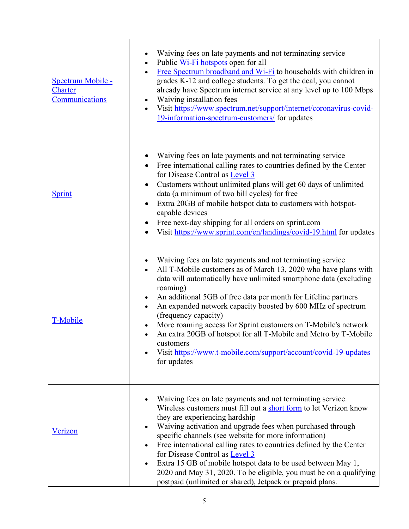| <b>Spectrum Mobile -</b><br><b>Charter</b><br>Communications | Waiving fees on late payments and not terminating service<br>Public Wi-Fi hotspots open for all<br>$\bullet$<br>Free Spectrum broadband and Wi-Fi to households with children in<br>$\bullet$<br>grades K-12 and college students. To get the deal, you cannot<br>already have Spectrum internet service at any level up to 100 Mbps<br>Waiving installation fees<br>Visit https://www.spectrum.net/support/internet/coronavirus-covid-<br>19-information-spectrum-customers/ for updates                                                                                                                                            |
|--------------------------------------------------------------|--------------------------------------------------------------------------------------------------------------------------------------------------------------------------------------------------------------------------------------------------------------------------------------------------------------------------------------------------------------------------------------------------------------------------------------------------------------------------------------------------------------------------------------------------------------------------------------------------------------------------------------|
| Sprint                                                       | Waiving fees on late payments and not terminating service<br>Free international calling rates to countries defined by the Center<br>for Disease Control as Level 3<br>Customers without unlimited plans will get 60 days of unlimited<br>$\bullet$<br>data (a minimum of two bill cycles) for free<br>Extra 20GB of mobile hotspot data to customers with hotspot-<br>$\bullet$<br>capable devices<br>Free next-day shipping for all orders on sprint.com<br>Visit https://www.sprint.com/en/landings/covid-19.html for updates<br>$\bullet$                                                                                         |
| T-Mobile                                                     | Waiving fees on late payments and not terminating service<br>All T-Mobile customers as of March 13, 2020 who have plans with<br>data will automatically have unlimited smartphone data (excluding<br>roaming)<br>An additional 5GB of free data per month for Lifeline partners<br>An expanded network capacity boosted by 600 MHz of spectrum<br>$\bullet$<br>(frequency capacity)<br>More roaming access for Sprint customers on T-Mobile's network<br>An extra 20GB of hotspot for all T-Mobile and Metro by T-Mobile<br>$\bullet$<br>customers<br>Visit https://www.t-mobile.com/support/account/covid-19-updates<br>for updates |
| Verizon                                                      | Waiving fees on late payments and not terminating service.<br>Wireless customers must fill out a short form to let Verizon know<br>they are experiencing hardship<br>Waiving activation and upgrade fees when purchased through<br>specific channels (see website for more information)<br>Free international calling rates to countries defined by the Center<br>for Disease Control as Level 3<br>Extra 15 GB of mobile hotspot data to be used between May 1,<br>$\bullet$<br>2020 and May 31, 2020. To be eligible, you must be on a qualifying<br>postpaid (unlimited or shared), Jetpack or prepaid plans.                     |